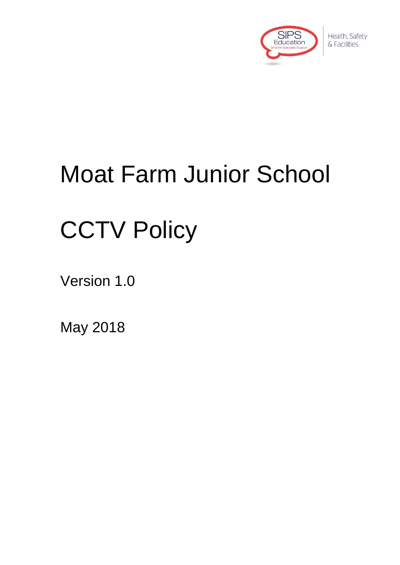

Health, Safety & Facilities

# Moat Farm Junior School

# **CCTV Policy**

Version 1.0

May 2018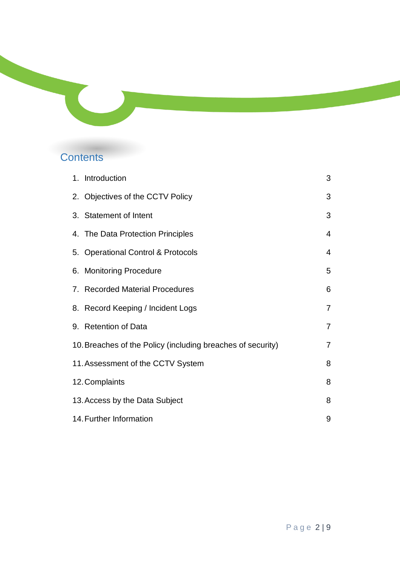### **Contents**

| 1. Introduction                                             | 3              |
|-------------------------------------------------------------|----------------|
| 2. Objectives of the CCTV Policy                            | 3              |
| 3. Statement of Intent                                      | 3              |
| 4. The Data Protection Principles                           | 4              |
| 5. Operational Control & Protocols                          | 4              |
| 6. Monitoring Procedure                                     | 5              |
| 7. Recorded Material Procedures                             | 6              |
| 8. Record Keeping / Incident Logs                           | $\overline{7}$ |
| 9. Retention of Data                                        | $\overline{7}$ |
| 10. Breaches of the Policy (including breaches of security) | $\overline{7}$ |
| 11. Assessment of the CCTV System                           | 8              |
| 12. Complaints                                              | 8              |
| 13. Access by the Data Subject                              | 8              |
| 14. Further Information                                     | 9              |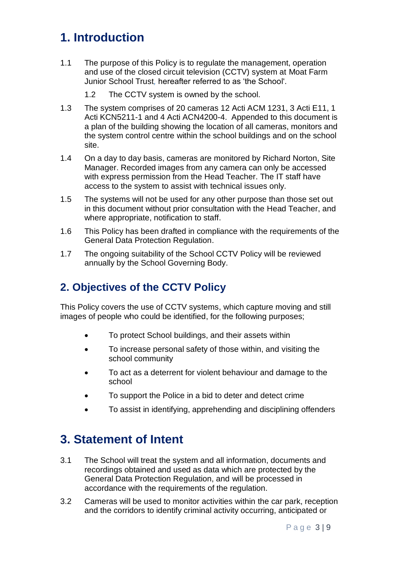# **1. Introduction**

- 1.1 The purpose of this Policy is to regulate the management, operation and use of the closed circuit television (CCTV) system at Moat Farm Junior School Trust*,* hereafter referred to as 'the School'.
	- 1.2 The CCTV system is owned by the school.
- 1.3 The system comprises of 20 cameras 12 Acti ACM 1231, 3 Acti E11, 1 Acti KCN5211-1 and 4 Acti ACN4200-4. Appended to this document is a plan of the building showing the location of all cameras, monitors and the system control centre within the school buildings and on the school site.
- 1.4 On a day to day basis, cameras are monitored by Richard Norton, Site Manager. Recorded images from any camera can only be accessed with express permission from the Head Teacher. The IT staff have access to the system to assist with technical issues only.
- 1.5 The systems will not be used for any other purpose than those set out in this document without prior consultation with the Head Teacher, and where appropriate, notification to staff.
- 1.6 This Policy has been drafted in compliance with the requirements of the General Data Protection Regulation.
- 1.7 The ongoing suitability of the School CCTV Policy will be reviewed annually by the School Governing Body.

#### **2. Objectives of the CCTV Policy**

This Policy covers the use of CCTV systems, which capture moving and still images of people who could be identified, for the following purposes;

- To protect School buildings, and their assets within
- To increase personal safety of those within, and visiting the school community
- To act as a deterrent for violent behaviour and damage to the school
- To support the Police in a bid to deter and detect crime
- To assist in identifying, apprehending and disciplining offenders

#### **3. Statement of Intent**

- 3.1 The School will treat the system and all information, documents and recordings obtained and used as data which are protected by the General Data Protection Regulation, and will be processed in accordance with the requirements of the regulation.
- 3.2 Cameras will be used to monitor activities within the car park, reception and the corridors to identify criminal activity occurring, anticipated or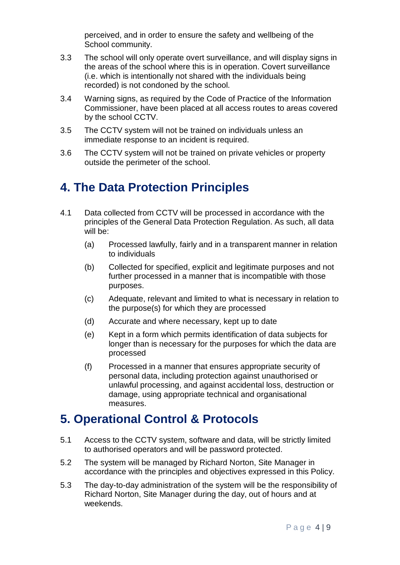perceived, and in order to ensure the safety and wellbeing of the School community.

- 3.3 The school will only operate overt surveillance, and will display signs in the areas of the school where this is in operation. Covert surveillance (i.e. which is intentionally not shared with the individuals being recorded) is not condoned by the school.
- 3.4 Warning signs, as required by the Code of Practice of the Information Commissioner, have been placed at all access routes to areas covered by the school CCTV.
- 3.5 The CCTV system will not be trained on individuals unless an immediate response to an incident is required.
- 3.6 The CCTV system will not be trained on private vehicles or property outside the perimeter of the school.

# **4. The Data Protection Principles**

- 4.1 Data collected from CCTV will be processed in accordance with the principles of the General Data Protection Regulation. As such, all data will be:
	- (a) Processed lawfully, fairly and in a transparent manner in relation to individuals
	- (b) Collected for specified, explicit and legitimate purposes and not further processed in a manner that is incompatible with those purposes.
	- (c) Adequate, relevant and limited to what is necessary in relation to the purpose(s) for which they are processed
	- (d) Accurate and where necessary, kept up to date
	- (e) Kept in a form which permits identification of data subjects for longer than is necessary for the purposes for which the data are processed
	- (f) Processed in a manner that ensures appropriate security of personal data, including protection against unauthorised or unlawful processing, and against accidental loss, destruction or damage, using appropriate technical and organisational measures.

#### **5. Operational Control & Protocols**

- 5.1 Access to the CCTV system, software and data, will be strictly limited to authorised operators and will be password protected.
- 5.2 The system will be managed by Richard Norton, Site Manager in accordance with the principles and objectives expressed in this Policy.
- 5.3 The day-to-day administration of the system will be the responsibility of Richard Norton, Site Manager during the day, out of hours and at weekends.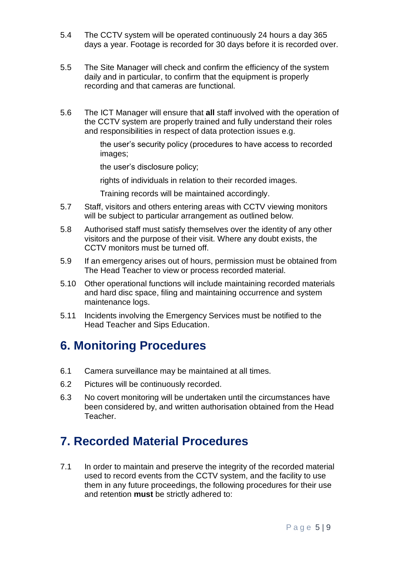- 5.4 The CCTV system will be operated continuously 24 hours a day 365 days a year. Footage is recorded for 30 days before it is recorded over.
- 5.5 The Site Manager will check and confirm the efficiency of the system daily and in particular, to confirm that the equipment is properly recording and that cameras are functional.
- 5.6 The ICT Manager will ensure that **all** staff involved with the operation of the CCTV system are properly trained and fully understand their roles and responsibilities in respect of data protection issues e.g.

the user's security policy (procedures to have access to recorded images;

the user's disclosure policy;

rights of individuals in relation to their recorded images.

Training records will be maintained accordingly.

- 5.7 Staff, visitors and others entering areas with CCTV viewing monitors will be subject to particular arrangement as outlined below.
- 5.8 Authorised staff must satisfy themselves over the identity of any other visitors and the purpose of their visit. Where any doubt exists, the CCTV monitors must be turned off.
- 5.9 If an emergency arises out of hours, permission must be obtained from The Head Teacher to view or process recorded material.
- 5.10 Other operational functions will include maintaining recorded materials and hard disc space, filing and maintaining occurrence and system maintenance logs.
- 5.11 Incidents involving the Emergency Services must be notified to the Head Teacher and Sips Education.

#### **6. Monitoring Procedures**

- 6.1 Camera surveillance may be maintained at all times.
- 6.2 Pictures will be continuously recorded.
- 6.3 No covert monitoring will be undertaken until the circumstances have been considered by, and written authorisation obtained from the Head Teacher.

### **7. Recorded Material Procedures**

7.1 In order to maintain and preserve the integrity of the recorded material used to record events from the CCTV system, and the facility to use them in any future proceedings, the following procedures for their use and retention **must** be strictly adhered to: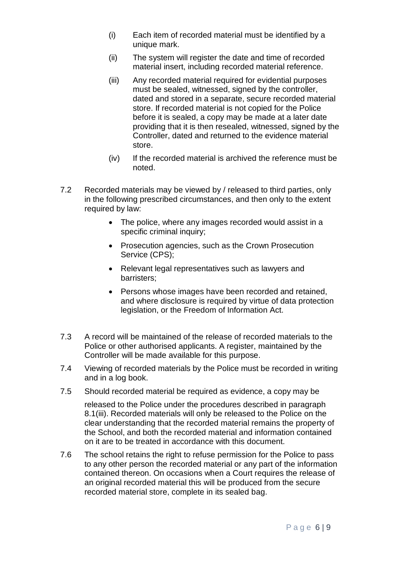- (i) Each item of recorded material must be identified by a unique mark.
- (ii) The system will register the date and time of recorded material insert, including recorded material reference.
- (iii) Any recorded material required for evidential purposes must be sealed, witnessed, signed by the controller, dated and stored in a separate, secure recorded material store. If recorded material is not copied for the Police before it is sealed, a copy may be made at a later date providing that it is then resealed, witnessed, signed by the Controller, dated and returned to the evidence material store.
- (iv) If the recorded material is archived the reference must be noted.
- 7.2 Recorded materials may be viewed by / released to third parties, only in the following prescribed circumstances, and then only to the extent required by law:
	- The police, where any images recorded would assist in a specific criminal inquiry;
	- Prosecution agencies, such as the Crown Prosecution Service (CPS);
	- Relevant legal representatives such as lawyers and barristers;
	- Persons whose images have been recorded and retained, and where disclosure is required by virtue of data protection legislation, or the Freedom of Information Act.
- 7.3 A record will be maintained of the release of recorded materials to the Police or other authorised applicants. A register, maintained by the Controller will be made available for this purpose.
- 7.4 Viewing of recorded materials by the Police must be recorded in writing and in a log book.
- 7.5 Should recorded material be required as evidence, a copy may be

released to the Police under the procedures described in paragraph 8.1(iii). Recorded materials will only be released to the Police on the clear understanding that the recorded material remains the property of the School, and both the recorded material and information contained on it are to be treated in accordance with this document.

7.6 The school retains the right to refuse permission for the Police to pass to any other person the recorded material or any part of the information contained thereon. On occasions when a Court requires the release of an original recorded material this will be produced from the secure recorded material store, complete in its sealed bag.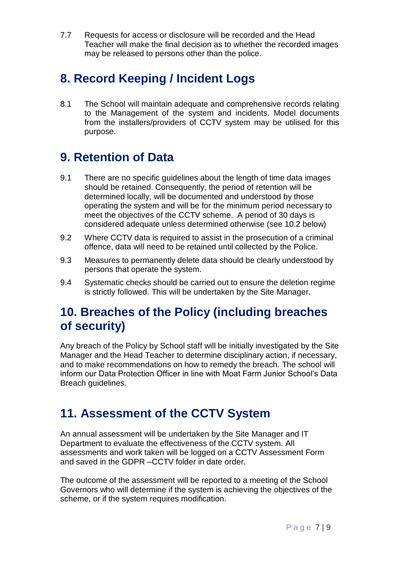7.7 Requests for access or disclosure will be recorded and the Head Teacher will make the final decision as to whether the recorded images may be released to persons other than the police.

# **8. Record Keeping / Incident Logs**

8.1 The School will maintain adequate and comprehensive records relating to the Management of the system and incidents. Model documents from the installers/providers of CCTV system may be utilised for this purpose.

### **9. Retention of Data**

- 9.1 There are no specific guidelines about the length of time data images should be retained. Consequently, the period of retention will be determined locally, will be documented and understood by those operating the system and will be for the minimum period necessary to meet the objectives of the CCTV scheme. A period of 30 days is considered adequate unless determined otherwise (see 10.2 below)
- 9.2 Where CCTV data is required to assist in the prosecution of a criminal offence, data will need to be retained until collected by the Police.
- 9.3 Measures to permanently delete data should be clearly understood by persons that operate the system.
- 9.4 Systematic checks should be carried out to ensure the deletion regime is strictly followed. This will be undertaken by the Site Manager.

### **10. Breaches of the Policy (including breaches of security)**

Any breach of the Policy by School staff will be initially investigated by the Site Manager and the Head Teacher to determine disciplinary action, if necessary, and to make recommendations on how to remedy the breach. The school will inform our Data Protection Officer in line with Moat Farm Junior School's Data Breach guidelines.

# **11. Assessment of the CCTV System**

An annual assessment will be undertaken by the Site Manager and IT Department to evaluate the effectiveness of the CCTV system. All assessments and work taken will be logged on a CCTV Assessment Form and saved in the GDPR –CCTV folder in date order.

The outcome of the assessment will be reported to a meeting of the School Governors who will determine if the system is achieving the objectives of the scheme, or if the system requires modification.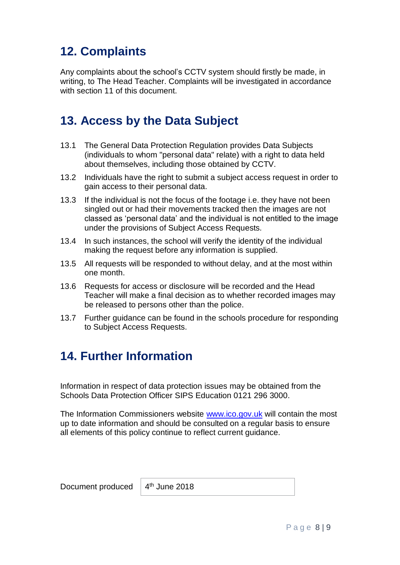# **12. Complaints**

Any complaints about the school's CCTV system should firstly be made, in writing, to The Head Teacher. Complaints will be investigated in accordance with section 11 of this document.

#### **13. Access by the Data Subject**

- 13.1 The General Data Protection Regulation provides Data Subjects (individuals to whom "personal data" relate) with a right to data held about themselves, including those obtained by CCTV.
- 13.2 Individuals have the right to submit a subject access request in order to gain access to their personal data.
- 13.3 If the individual is not the focus of the footage i.e. they have not been singled out or had their movements tracked then the images are not classed as 'personal data' and the individual is not entitled to the image under the provisions of Subject Access Requests.
- 13.4 In such instances, the school will verify the identity of the individual making the request before any information is supplied.
- 13.5 All requests will be responded to without delay, and at the most within one month.
- 13.6 Requests for access or disclosure will be recorded and the Head Teacher will make a final decision as to whether recorded images may be released to persons other than the police.
- 13.7 Further guidance can be found in the schools procedure for responding to Subject Access Requests.

### **14. Further Information**

Information in respect of data protection issues may be obtained from the Schools Data Protection Officer SIPS Education 0121 296 3000.

The Information Commissioners website [www.ico.gov.uk](http://www.ico.gov.uk/) will contain the most up to date information and should be consulted on a regular basis to ensure all elements of this policy continue to reflect current guidance.

Document produced

 $4<sup>th</sup>$  June 2018